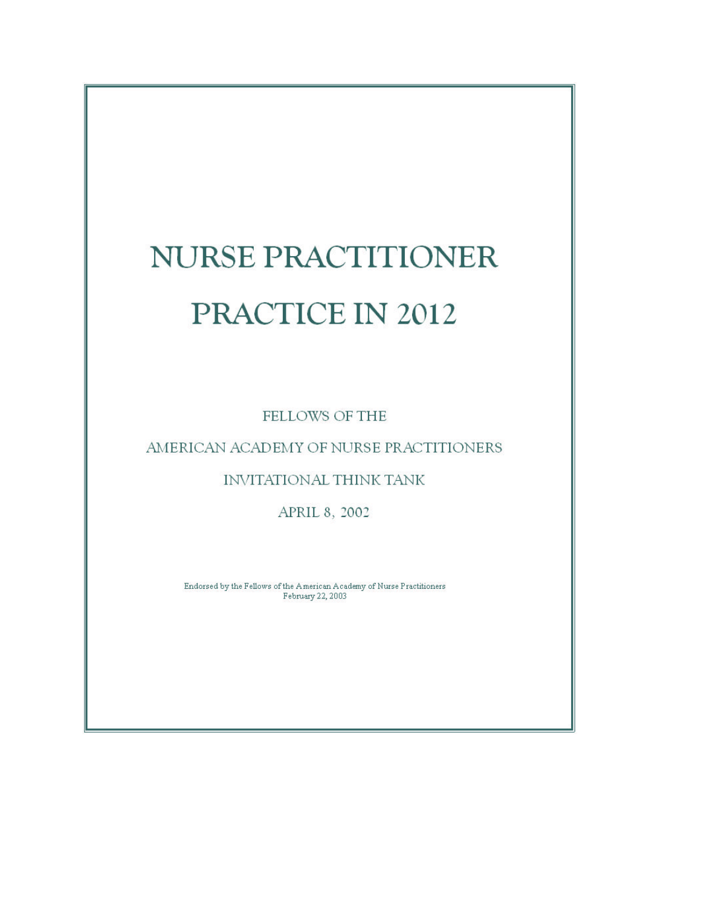# NURSE PRACTITIONER PRACTICE IN 2012

FELLOWS OF THE

AMERICAN ACADEMY OF NURSE PRACTITIONERS

INVITATIONAL THINK TANK

APRIL 8, 2002

Endorsed by the Fellows of the American Academy of Nurse Practitioners February 22, 2003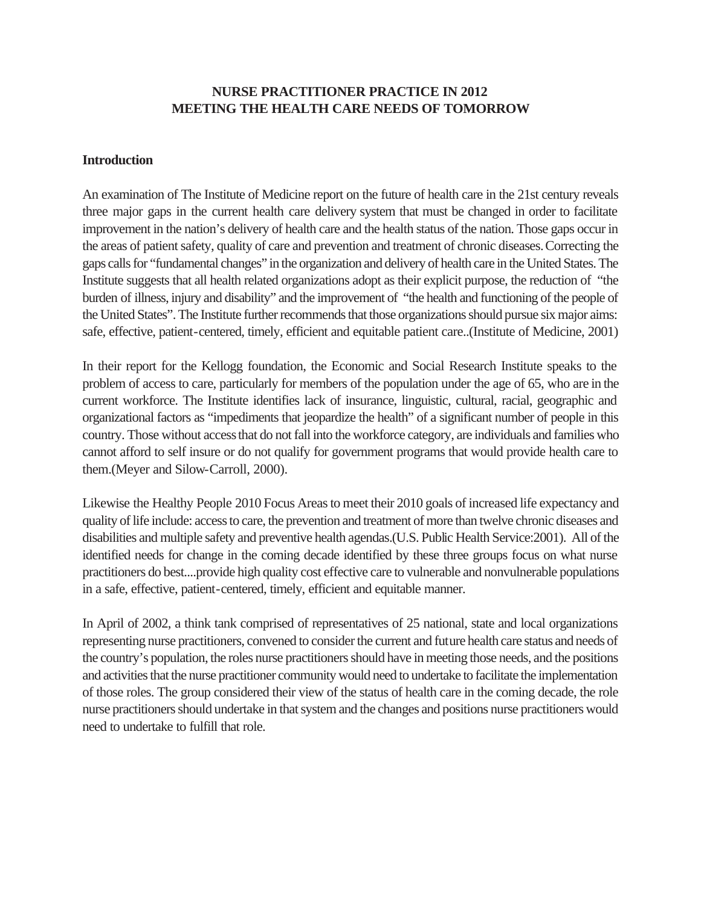# **NURSE PRACTITIONER PRACTICE IN 2012 MEETING THE HEALTH CARE NEEDS OF TOMORROW**

#### **Introduction**

An examination of The Institute of Medicine report on the future of health care in the 21st century reveals three major gaps in the current health care delivery system that must be changed in order to facilitate improvement in the nation's delivery of health care and the health status of the nation. Those gaps occur in the areas of patient safety, quality of care and prevention and treatment of chronic diseases. Correcting the gaps calls for "fundamental changes" in the organization and delivery of health care in the United States. The Institute suggests that all health related organizations adopt as their explicit purpose, the reduction of "the burden of illness, injury and disability" and the improvement of "the health and functioning of the people of the United States". The Institute further recommends that those organizations should pursue six major aims: safe, effective, patient-centered, timely, efficient and equitable patient care..(Institute of Medicine, 2001)

In their report for the Kellogg foundation, the Economic and Social Research Institute speaks to the problem of access to care, particularly for members of the population under the age of 65, who are in the current workforce. The Institute identifies lack of insurance, linguistic, cultural, racial, geographic and organizational factors as "impediments that jeopardize the health" of a significant number of people in this country. Those without access that do not fall into the workforce category, are individuals and families who cannot afford to self insure or do not qualify for government programs that would provide health care to them.(Meyer and Silow-Carroll, 2000).

Likewise the Healthy People 2010 Focus Areas to meet their 2010 goals of increased life expectancy and quality of life include: access to care, the prevention and treatment of more than twelve chronic diseases and disabilities and multiple safety and preventive health agendas.(U.S. Public Health Service:2001). All of the identified needs for change in the coming decade identified by these three groups focus on what nurse practitioners do best....provide high quality cost effective care to vulnerable and nonvulnerable populations in a safe, effective, patient-centered, timely, efficient and equitable manner.

In April of 2002, a think tank comprised of representatives of 25 national, state and local organizations representing nurse practitioners, convened to consider the current and future health care status and needs of the country's population, the roles nurse practitioners should have in meeting those needs, and the positions and activities that the nurse practitioner community would need to undertake to facilitate the implementation of those roles. The group considered their view of the status of health care in the coming decade, the role nurse practitioners should undertake in that system and the changes and positions nurse practitioners would need to undertake to fulfill that role.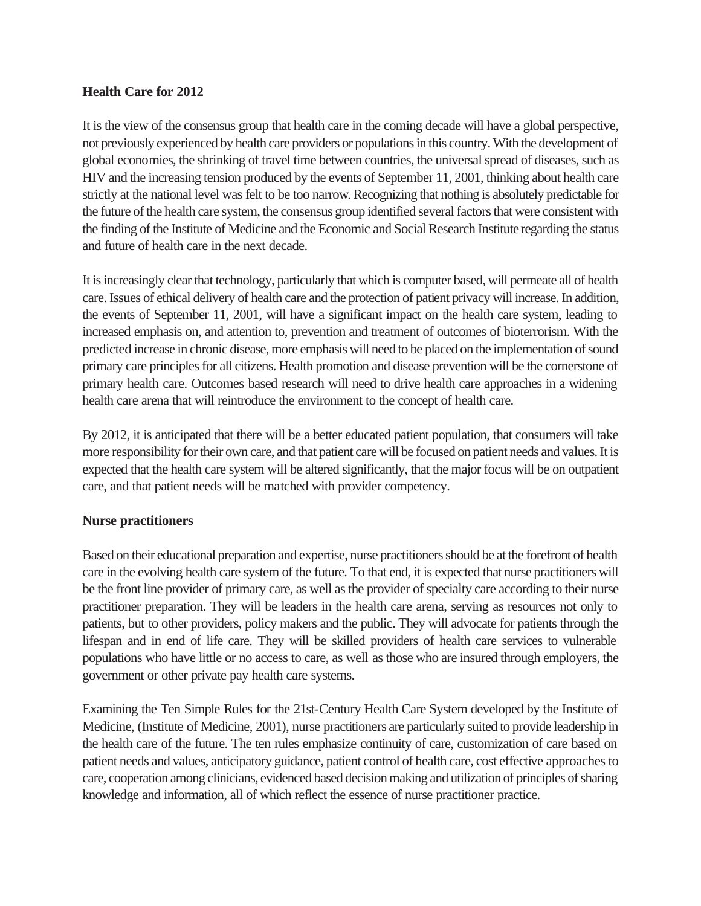# **Health Care for 2012**

It is the view of the consensus group that health care in the coming decade will have a global perspective, not previously experienced by health care providers or populations in this country. With the development of global economies, the shrinking of travel time between countries, the universal spread of diseases, such as HIV and the increasing tension produced by the events of September 11, 2001, thinking about health care strictly at the national level was felt to be too narrow. Recognizing that nothing is absolutely predictable for the future of the health care system, the consensus group identified several factors that were consistent with the finding of the Institute of Medicine and the Economic and Social Research Institute regarding the status and future of health care in the next decade.

It is increasingly clear that technology, particularly that which is computer based, will permeate all of health care. Issues of ethical delivery of health care and the protection of patient privacy will increase. In addition, the events of September 11, 2001, will have a significant impact on the health care system, leading to increased emphasis on, and attention to, prevention and treatment of outcomes of bioterrorism. With the predicted increase in chronic disease, more emphasis will need to be placed on the implementation of sound primary care principles for all citizens. Health promotion and disease prevention will be the cornerstone of primary health care. Outcomes based research will need to drive health care approaches in a widening health care arena that will reintroduce the environment to the concept of health care.

By 2012, it is anticipated that there will be a better educated patient population, that consumers will take more responsibility for their own care, and that patient care will be focused on patient needs and values. It is expected that the health care system will be altered significantly, that the major focus will be on outpatient care, and that patient needs will be matched with provider competency.

# **Nurse practitioners**

Based on their educational preparation and expertise, nurse practitioners should be at the forefront of health care in the evolving health care system of the future. To that end, it is expected that nurse practitioners will be the front line provider of primary care, as well as the provider of specialty care according to their nurse practitioner preparation. They will be leaders in the health care arena, serving as resources not only to patients, but to other providers, policy makers and the public. They will advocate for patients through the lifespan and in end of life care. They will be skilled providers of health care services to vulnerable populations who have little or no access to care, as well as those who are insured through employers, the government or other private pay health care systems.

Examining the Ten Simple Rules for the 21st-Century Health Care System developed by the Institute of Medicine, (Institute of Medicine, 2001), nurse practitioners are particularly suited to provide leadership in the health care of the future. The ten rules emphasize continuity of care, customization of care based on patient needs and values, anticipatory guidance, patient control of health care, cost effective approaches to care, cooperation among clinicians, evidenced based decision making and utilization of principles of sharing knowledge and information, all of which reflect the essence of nurse practitioner practice.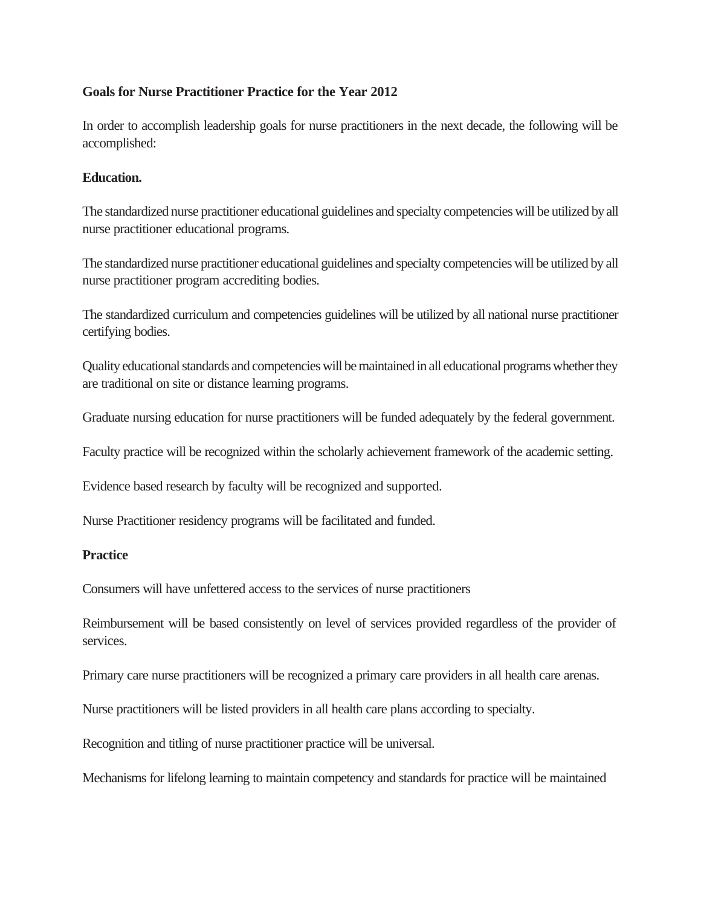### **Goals for Nurse Practitioner Practice for the Year 2012**

In order to accomplish leadership goals for nurse practitioners in the next decade, the following will be accomplished:

# **Education.**

The standardized nurse practitioner educational guidelines and specialty competencies will be utilized by all nurse practitioner educational programs.

The standardized nurse practitioner educational guidelines and specialty competencies will be utilized by all nurse practitioner program accrediting bodies.

The standardized curriculum and competencies guidelines will be utilized by all national nurse practitioner certifying bodies.

Quality educational standards and competencies will be maintained in all educational programs whether they are traditional on site or distance learning programs.

Graduate nursing education for nurse practitioners will be funded adequately by the federal government.

Faculty practice will be recognized within the scholarly achievement framework of the academic setting.

Evidence based research by faculty will be recognized and supported.

Nurse Practitioner residency programs will be facilitated and funded.

#### **Practice**

Consumers will have unfettered access to the services of nurse practitioners

Reimbursement will be based consistently on level of services provided regardless of the provider of services.

Primary care nurse practitioners will be recognized a primary care providers in all health care arenas.

Nurse practitioners will be listed providers in all health care plans according to specialty.

Recognition and titling of nurse practitioner practice will be universal.

Mechanisms for lifelong learning to maintain competency and standards for practice will be maintained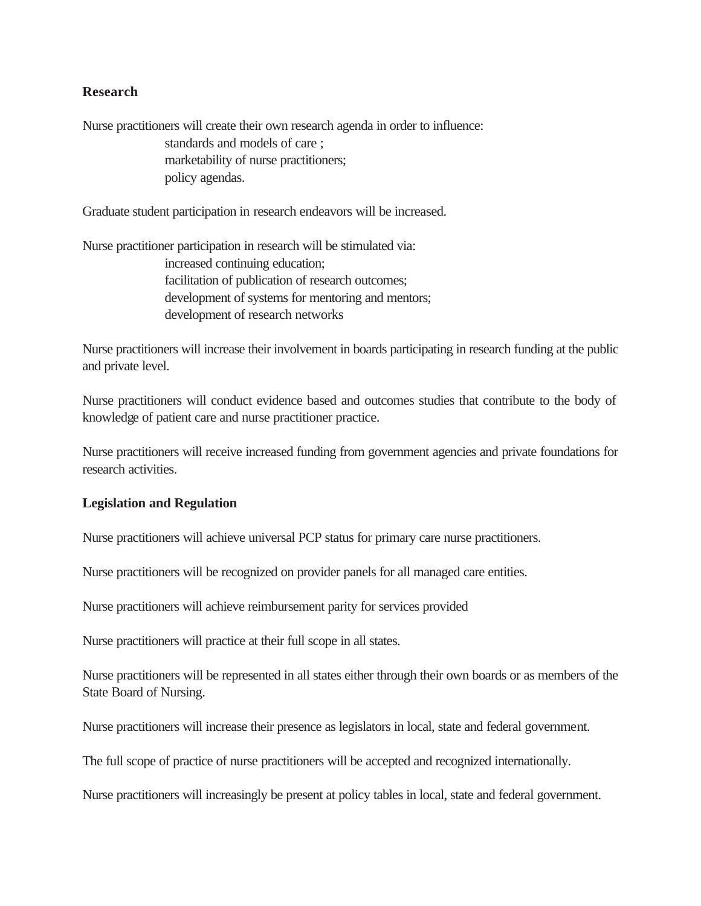### **Research**

Nurse practitioners will create their own research agenda in order to influence: standards and models of care ; marketability of nurse practitioners; policy agendas.

Graduate student participation in research endeavors will be increased.

Nurse practitioner participation in research will be stimulated via: increased continuing education; facilitation of publication of research outcomes; development of systems for mentoring and mentors; development of research networks

Nurse practitioners will increase their involvement in boards participating in research funding at the public and private level.

Nurse practitioners will conduct evidence based and outcomes studies that contribute to the body of knowledge of patient care and nurse practitioner practice.

Nurse practitioners will receive increased funding from government agencies and private foundations for research activities.

#### **Legislation and Regulation**

Nurse practitioners will achieve universal PCP status for primary care nurse practitioners.

Nurse practitioners will be recognized on provider panels for all managed care entities.

Nurse practitioners will achieve reimbursement parity for services provided

Nurse practitioners will practice at their full scope in all states.

Nurse practitioners will be represented in all states either through their own boards or as members of the State Board of Nursing.

Nurse practitioners will increase their presence as legislators in local, state and federal government.

The full scope of practice of nurse practitioners will be accepted and recognized internationally.

Nurse practitioners will increasingly be present at policy tables in local, state and federal government.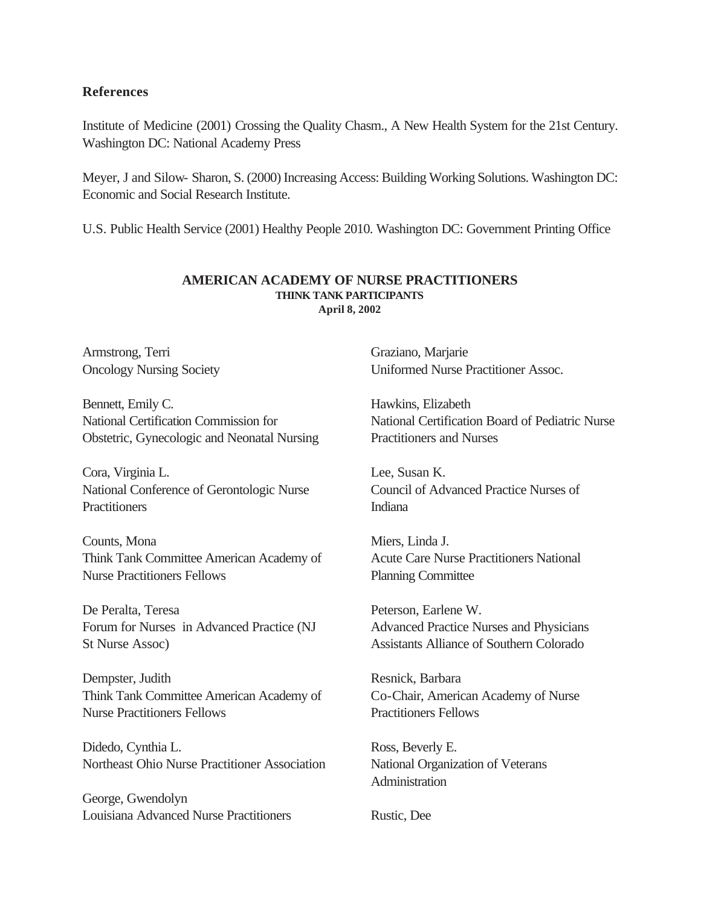#### **References**

Institute of Medicine (2001) Crossing the Quality Chasm., A New Health System for the 21st Century. Washington DC: National Academy Press

Meyer, J and Silow- Sharon, S. (2000) Increasing Access: Building Working Solutions. Washington DC: Economic and Social Research Institute.

U.S. Public Health Service (2001) Healthy People 2010. Washington DC: Government Printing Office

#### **AMERICAN ACADEMY OF NURSE PRACTITIONERS THINK TANK PARTICIPANTS April 8, 2002**

Armstrong, Terri Oncology Nursing Society

Bennett, Emily C. National Certification Commission for Obstetric, Gynecologic and Neonatal Nursing

Cora, Virginia L. National Conference of Gerontologic Nurse **Practitioners** 

Counts, Mona Think Tank Committee American Academy of Nurse Practitioners Fellows

De Peralta, Teresa Forum for Nurses in Advanced Practice (NJ St Nurse Assoc)

Dempster, Judith Think Tank Committee American Academy of Nurse Practitioners Fellows

Didedo, Cynthia L. Northeast Ohio Nurse Practitioner Association

George, Gwendolyn Louisiana Advanced Nurse Practitioners Graziano, Marjarie Uniformed Nurse Practitioner Assoc.

Hawkins, Elizabeth National Certification Board of Pediatric Nurse Practitioners and Nurses

Lee, Susan K. Council of Advanced Practice Nurses of Indiana

Miers, Linda J. Acute Care Nurse Practitioners National Planning Committee

Peterson, Earlene W. Advanced Practice Nurses and Physicians Assistants Alliance of Southern Colorado

Resnick, Barbara Co-Chair, American Academy of Nurse Practitioners Fellows

Ross, Beverly E. National Organization of Veterans Administration

Rustic, Dee